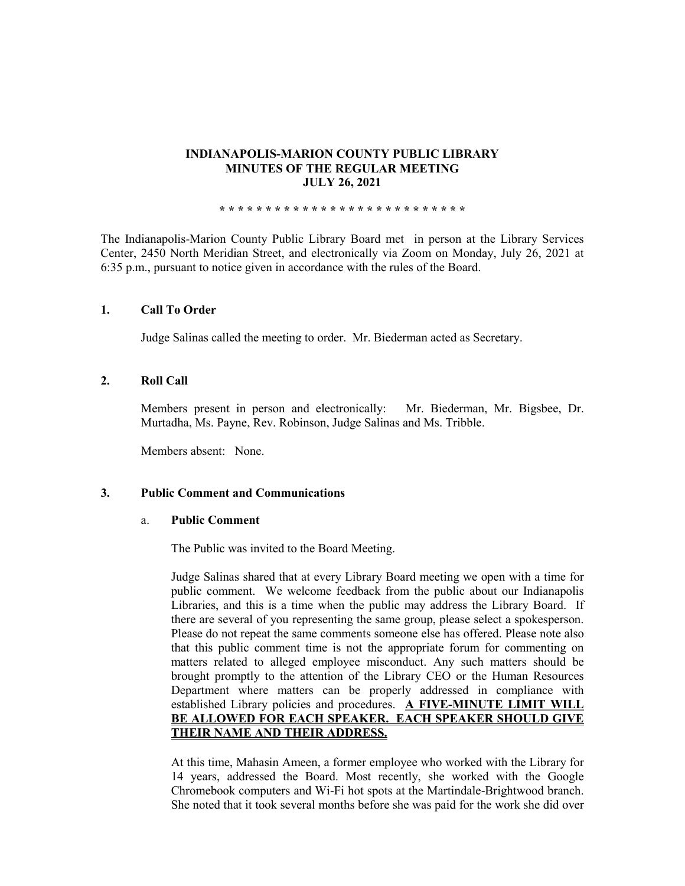## **INDIANAPOLIS-MARION COUNTY PUBLIC LIBRARY MINUTES OF THE REGULAR MEETING JULY 26, 2021**

**\* \* \* \* \* \* \* \* \* \* \* \* \* \* \* \* \* \* \* \* \* \* \* \* \* \* \***

The Indianapolis-Marion County Public Library Board met in person at the Library Services Center, 2450 North Meridian Street, and electronically via Zoom on Monday, July 26, 2021 at 6:35 p.m., pursuant to notice given in accordance with the rules of the Board.

## **1. Call To Order**

Judge Salinas called the meeting to order. Mr. Biederman acted as Secretary.

## **2. Roll Call**

Members present in person and electronically: Mr. Biederman, Mr. Bigsbee, Dr. Murtadha, Ms. Payne, Rev. Robinson, Judge Salinas and Ms. Tribble.

Members absent: None.

## **3. Public Comment and Communications**

## a. **Public Comment**

The Public was invited to the Board Meeting.

Judge Salinas shared that at every Library Board meeting we open with a time for public comment. We welcome feedback from the public about our Indianapolis Libraries, and this is a time when the public may address the Library Board. If there are several of you representing the same group, please select a spokesperson. Please do not repeat the same comments someone else has offered. Please note also that this public comment time is not the appropriate forum for commenting on matters related to alleged employee misconduct. Any such matters should be brought promptly to the attention of the Library CEO or the Human Resources Department where matters can be properly addressed in compliance with established Library policies and procedures. **A FIVE-MINUTE LIMIT WILL BE ALLOWED FOR EACH SPEAKER. EACH SPEAKER SHOULD GIVE THEIR NAME AND THEIR ADDRESS.** 

At this time, Mahasin Ameen, a former employee who worked with the Library for 14 years, addressed the Board. Most recently, she worked with the Google Chromebook computers and Wi-Fi hot spots at the Martindale-Brightwood branch. She noted that it took several months before she was paid for the work she did over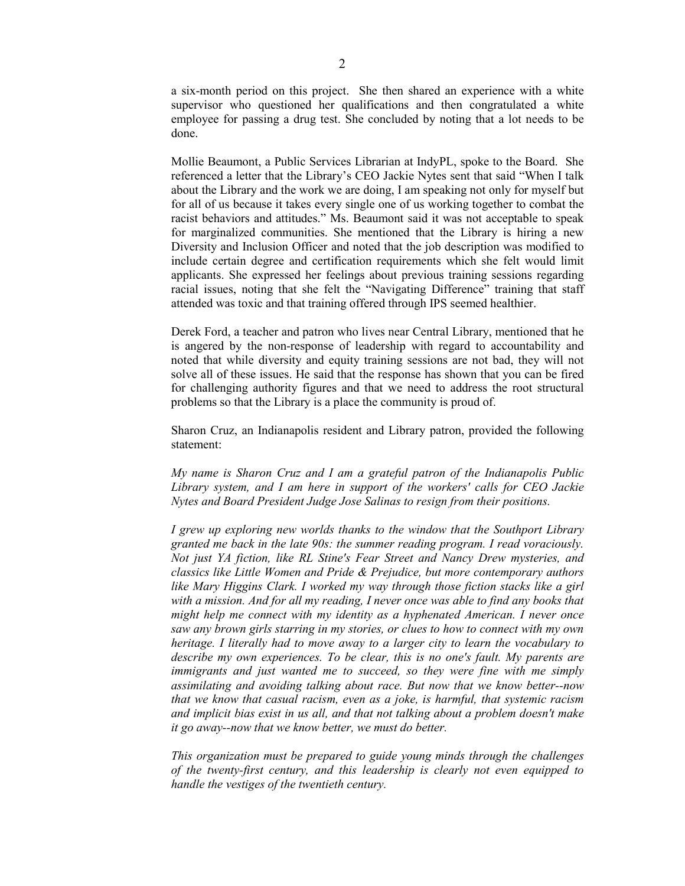a six-month period on this project. She then shared an experience with a white supervisor who questioned her qualifications and then congratulated a white employee for passing a drug test. She concluded by noting that a lot needs to be done.

Mollie Beaumont, a Public Services Librarian at IndyPL, spoke to the Board. She referenced a letter that the Library's CEO Jackie Nytes sent that said "When I talk about the Library and the work we are doing, I am speaking not only for myself but for all of us because it takes every single one of us working together to combat the racist behaviors and attitudes." Ms. Beaumont said it was not acceptable to speak for marginalized communities. She mentioned that the Library is hiring a new Diversity and Inclusion Officer and noted that the job description was modified to include certain degree and certification requirements which she felt would limit applicants. She expressed her feelings about previous training sessions regarding racial issues, noting that she felt the "Navigating Difference" training that staff attended was toxic and that training offered through IPS seemed healthier.

Derek Ford, a teacher and patron who lives near Central Library, mentioned that he is angered by the non-response of leadership with regard to accountability and noted that while diversity and equity training sessions are not bad, they will not solve all of these issues. He said that the response has shown that you can be fired for challenging authority figures and that we need to address the root structural problems so that the Library is a place the community is proud of.

Sharon Cruz, an Indianapolis resident and Library patron, provided the following statement:

*My name is Sharon Cruz and I am a grateful patron of the Indianapolis Public Library system, and I am here in support of the workers' calls for CEO Jackie Nytes and Board President Judge Jose Salinas to resign from their positions.*

*I grew up exploring new worlds thanks to the window that the Southport Library granted me back in the late 90s: the summer reading program. I read voraciously. Not just YA fiction, like RL Stine's Fear Street and Nancy Drew mysteries, and classics like Little Women and Pride & Prejudice, but more contemporary authors like Mary Higgins Clark. I worked my way through those fiction stacks like a girl with a mission. And for all my reading, I never once was able to find any books that might help me connect with my identity as a hyphenated American. I never once saw any brown girls starring in my stories, or clues to how to connect with my own heritage. I literally had to move away to a larger city to learn the vocabulary to describe my own experiences. To be clear, this is no one's fault. My parents are immigrants and just wanted me to succeed, so they were fine with me simply assimilating and avoiding talking about race. But now that we know better--now that we know that casual racism, even as a joke, is harmful, that systemic racism and implicit bias exist in us all, and that not talking about a problem doesn't make it go away--now that we know better, we must do better.*

*This organization must be prepared to guide young minds through the challenges of the twenty-first century, and this leadership is clearly not even equipped to handle the vestiges of the twentieth century.*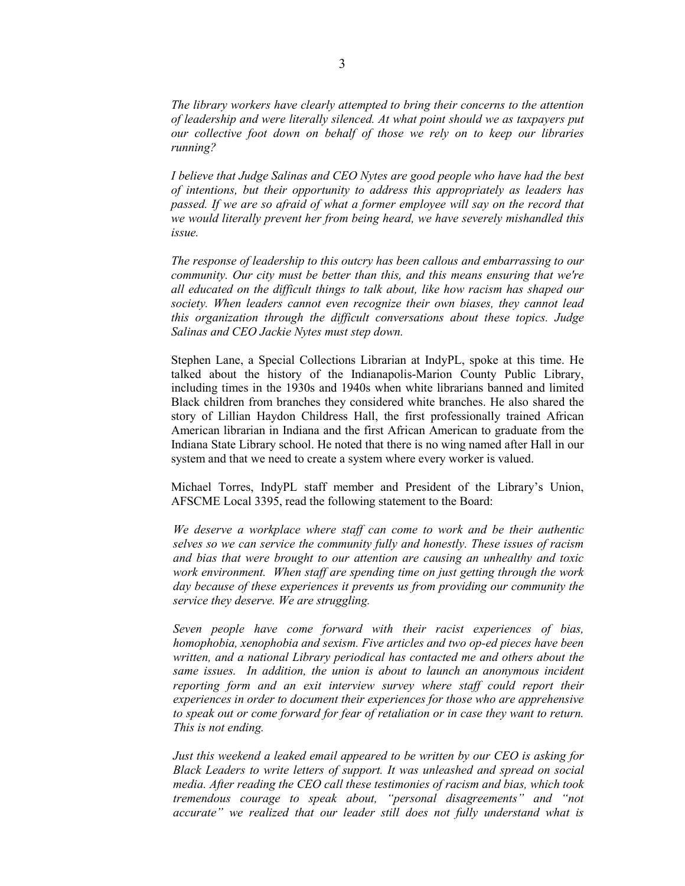*The library workers have clearly attempted to bring their concerns to the attention of leadership and were literally silenced. At what point should we as taxpayers put our collective foot down on behalf of those we rely on to keep our libraries running?*

*I believe that Judge Salinas and CEO Nytes are good people who have had the best of intentions, but their opportunity to address this appropriately as leaders has passed. If we are so afraid of what a former employee will say on the record that we would literally prevent her from being heard, we have severely mishandled this issue.*

*The response of leadership to this outcry has been callous and embarrassing to our community. Our city must be better than this, and this means ensuring that we're all educated on the difficult things to talk about, like how racism has shaped our society. When leaders cannot even recognize their own biases, they cannot lead this organization through the difficult conversations about these topics. Judge Salinas and CEO Jackie Nytes must step down.*

Stephen Lane, a Special Collections Librarian at IndyPL, spoke at this time. He talked about the history of the Indianapolis-Marion County Public Library, including times in the 1930s and 1940s when white librarians banned and limited Black children from branches they considered white branches. He also shared the story of Lillian Haydon Childress Hall, the first professionally trained African American librarian in Indiana and the first African American to graduate from the Indiana State Library school. He noted that there is no wing named after Hall in our system and that we need to create a system where every worker is valued.

Michael Torres, IndyPL staff member and President of the Library's Union, AFSCME Local 3395, read the following statement to the Board:

*We deserve a workplace where staff can come to work and be their authentic selves so we can service the community fully and honestly. These issues of racism and bias that were brought to our attention are causing an unhealthy and toxic work environment. When staff are spending time on just getting through the work day because of these experiences it prevents us from providing our community the service they deserve. We are struggling.*

*Seven people have come forward with their racist experiences of bias, homophobia, xenophobia and sexism. Five articles and two op-ed pieces have been written, and a national Library periodical has contacted me and others about the same issues. In addition, the union is about to launch an anonymous incident reporting form and an exit interview survey where staff could report their experiences in order to document their experiences for those who are apprehensive*  to speak out or come forward for fear of retaliation or in case they want to return. *This is not ending.*

*Just this weekend a leaked email appeared to be written by our CEO is asking for Black Leaders to write letters of support. It was unleashed and spread on social media. After reading the CEO call these testimonies of racism and bias, which took tremendous courage to speak about, "personal disagreements" and "not accurate" we realized that our leader still does not fully understand what is*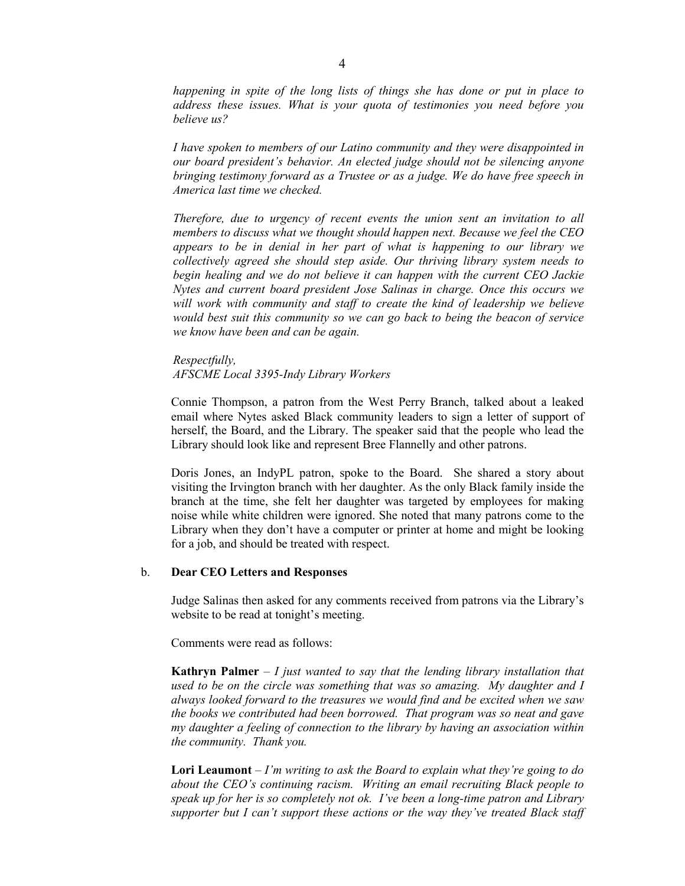*happening in spite of the long lists of things she has done or put in place to address these issues. What is your quota of testimonies you need before you believe us?* 

*I have spoken to members of our Latino community and they were disappointed in our board president's behavior. An elected judge should not be silencing anyone bringing testimony forward as a Trustee or as a judge. We do have free speech in America last time we checked.* 

*Therefore, due to urgency of recent events the union sent an invitation to all members to discuss what we thought should happen next. Because we feel the CEO appears to be in denial in her part of what is happening to our library we collectively agreed she should step aside. Our thriving library system needs to begin healing and we do not believe it can happen with the current CEO Jackie Nytes and current board president Jose Salinas in charge. Once this occurs we*  will work with community and staff to create the kind of leadership we believe *would best suit this community so we can go back to being the beacon of service we know have been and can be again.*

*Respectfully, AFSCME Local 3395-Indy Library Workers*

Connie Thompson, a patron from the West Perry Branch, talked about a leaked email where Nytes asked Black community leaders to sign a letter of support of herself, the Board, and the Library. The speaker said that the people who lead the Library should look like and represent Bree Flannelly and other patrons.

Doris Jones, an IndyPL patron, spoke to the Board. She shared a story about visiting the Irvington branch with her daughter. As the only Black family inside the branch at the time, she felt her daughter was targeted by employees for making noise while white children were ignored. She noted that many patrons come to the Library when they don't have a computer or printer at home and might be looking for a job, and should be treated with respect.

#### b. **Dear CEO Letters and Responses**

Judge Salinas then asked for any comments received from patrons via the Library's website to be read at tonight's meeting.

Comments were read as follows:

**Kathryn Palmer** – *I just wanted to say that the lending library installation that used to be on the circle was something that was so amazing. My daughter and I always looked forward to the treasures we would find and be excited when we saw the books we contributed had been borrowed. That program was so neat and gave my daughter a feeling of connection to the library by having an association within the community. Thank you.* 

**Lori Leaumont** – *I'm writing to ask the Board to explain what they're going to do about the CEO's continuing racism. Writing an email recruiting Black people to speak up for her is so completely not ok. I've been a long-time patron and Library supporter but I can't support these actions or the way they've treated Black staff*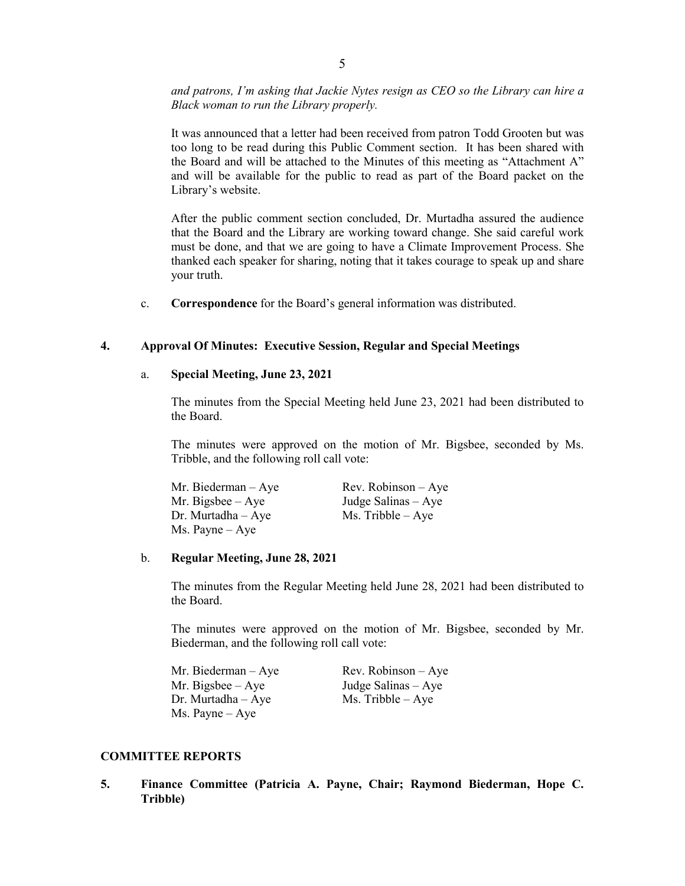*and patrons, I'm asking that Jackie Nytes resign as CEO so the Library can hire a Black woman to run the Library properly.* 

It was announced that a letter had been received from patron Todd Grooten but was too long to be read during this Public Comment section. It has been shared with the Board and will be attached to the Minutes of this meeting as "Attachment A" and will be available for the public to read as part of the Board packet on the Library's website.

After the public comment section concluded, Dr. Murtadha assured the audience that the Board and the Library are working toward change. She said careful work must be done, and that we are going to have a Climate Improvement Process. She thanked each speaker for sharing, noting that it takes courage to speak up and share your truth.

c. **Correspondence** for the Board's general information was distributed.

## **4. Approval Of Minutes: Executive Session, Regular and Special Meetings**

#### a. **Special Meeting, June 23, 2021**

The minutes from the Special Meeting held June 23, 2021 had been distributed to the Board.

The minutes were approved on the motion of Mr. Bigsbee, seconded by Ms. Tribble, and the following roll call vote:

| Mr. Biederman – Aye | $Rev. Robinson - Aye$ |
|---------------------|-----------------------|
| Mr. Bigsbee – Aye   | Judge Salinas $-$ Aye |
| Dr. Murtadha – Aye  | $Ms.$ Tribble $-$ Aye |
| Ms. Payne – Aye     |                       |

#### b. **Regular Meeting, June 28, 2021**

The minutes from the Regular Meeting held June 28, 2021 had been distributed to the Board.

The minutes were approved on the motion of Mr. Bigsbee, seconded by Mr. Biederman, and the following roll call vote:

| Mr. Biederman – Aye | $Rev. Robinson - Ave$ |
|---------------------|-----------------------|
| Mr. Bigsbee – Aye   | Judge Salinas $-$ Aye |
| Dr. Murtadha – Aye  | $Ms.$ Tribble $-$ Aye |
| Ms. Payne – Aye     |                       |

#### **COMMITTEE REPORTS**

**5. Finance Committee (Patricia A. Payne, Chair; Raymond Biederman, Hope C. Tribble)**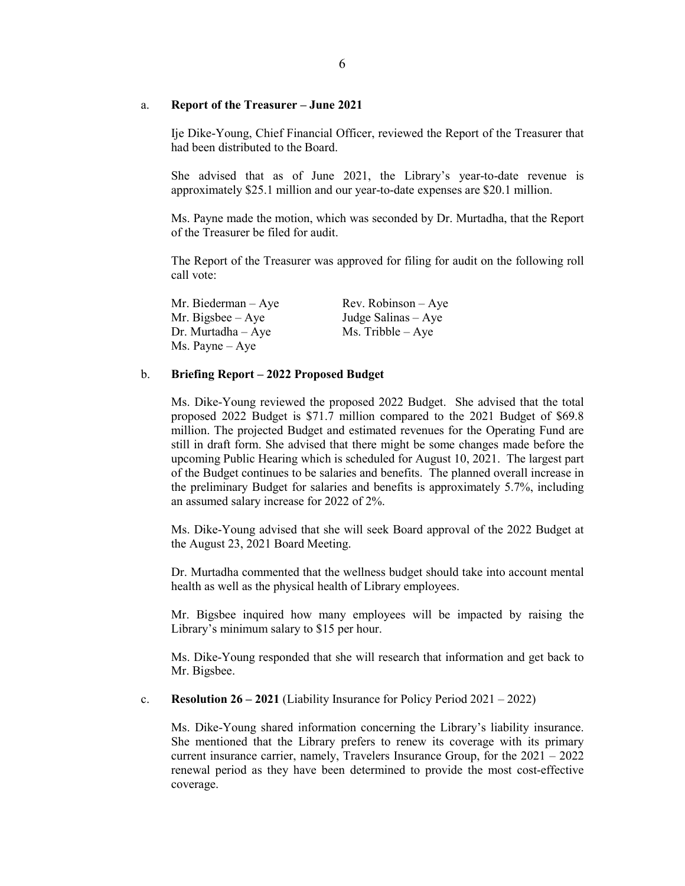#### a. **Report of the Treasurer – June 2021**

Ije Dike-Young, Chief Financial Officer, reviewed the Report of the Treasurer that had been distributed to the Board.

She advised that as of June 2021, the Library's year-to-date revenue is approximately \$25.1 million and our year-to-date expenses are \$20.1 million.

Ms. Payne made the motion, which was seconded by Dr. Murtadha, that the Report of the Treasurer be filed for audit.

The Report of the Treasurer was approved for filing for audit on the following roll call vote:

Mr. Biederman – Aye Rev. Robinson – Aye Mr. Bigsbee – Aye Judge Salinas – Aye Dr. Murtadha – Aye Ms. Tribble – Aye Ms. Payne – Aye

## b. **Briefing Report – 2022 Proposed Budget**

Ms. Dike-Young reviewed the proposed 2022 Budget. She advised that the total proposed 2022 Budget is \$71.7 million compared to the 2021 Budget of \$69.8 million. The projected Budget and estimated revenues for the Operating Fund are still in draft form. She advised that there might be some changes made before the upcoming Public Hearing which is scheduled for August 10, 2021. The largest part of the Budget continues to be salaries and benefits. The planned overall increase in the preliminary Budget for salaries and benefits is approximately 5.7%, including an assumed salary increase for 2022 of 2%.

Ms. Dike-Young advised that she will seek Board approval of the 2022 Budget at the August 23, 2021 Board Meeting.

Dr. Murtadha commented that the wellness budget should take into account mental health as well as the physical health of Library employees.

Mr. Bigsbee inquired how many employees will be impacted by raising the Library's minimum salary to \$15 per hour.

Ms. Dike-Young responded that she will research that information and get back to Mr. Bigsbee.

c. **Resolution 26 – 2021** (Liability Insurance for Policy Period 2021 – 2022)

Ms. Dike-Young shared information concerning the Library's liability insurance. She mentioned that the Library prefers to renew its coverage with its primary current insurance carrier, namely, Travelers Insurance Group, for the 2021 – 2022 renewal period as they have been determined to provide the most cost-effective coverage.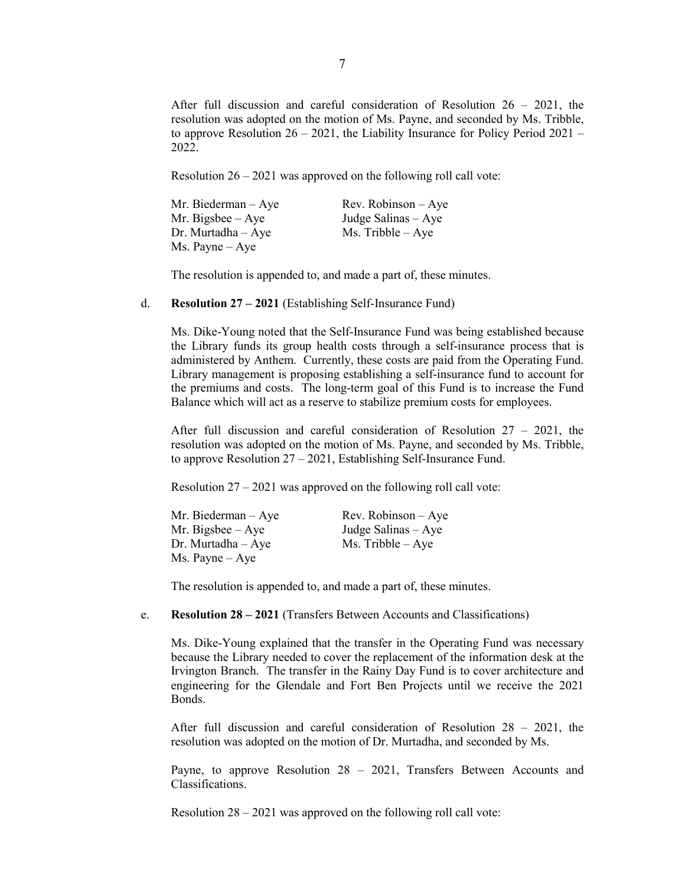After full discussion and careful consideration of Resolution 26 – 2021, the resolution was adopted on the motion of Ms. Payne, and seconded by Ms. Tribble, to approve Resolution  $26 - 2021$ , the Liability Insurance for Policy Period  $2021 -$ 2022.

Resolution 26 – 2021 was approved on the following roll call vote:

| Mr. Biederman $-$ Aye    | Rev. Robinson $-$ Aye |
|--------------------------|-----------------------|
| Mr. Bigsbee $-$ Aye      | Judge Salinas $-$ Aye |
| $Dr.$ Murtadha $-$ Aye   | $Ms.$ Tribble $-$ Aye |
| $Ms. \text{Payne} - Aye$ |                       |

The resolution is appended to, and made a part of, these minutes.

#### d. **Resolution 27 – 2021** (Establishing Self-Insurance Fund)

Ms. Dike-Young noted that the Self-Insurance Fund was being established because the Library funds its group health costs through a self-insurance process that is administered by Anthem. Currently, these costs are paid from the Operating Fund. Library management is proposing establishing a self-insurance fund to account for the premiums and costs. The long-term goal of this Fund is to increase the Fund Balance which will act as a reserve to stabilize premium costs for employees.

After full discussion and careful consideration of Resolution 27 – 2021, the resolution was adopted on the motion of Ms. Payne, and seconded by Ms. Tribble, to approve Resolution 27 – 2021, Establishing Self-Insurance Fund.

Resolution  $27 - 2021$  was approved on the following roll call vote:

| Mr. Biederman $-$ Aye    | $Rev. Robinson - Aye$ |
|--------------------------|-----------------------|
| Mr. Bigsbee $-$ Aye      | Judge Salinas $-$ Aye |
| $Dr.$ Murtadha $-Aye$    | $Ms.$ Tribble $-Aye$  |
| $Ms. \text{Payne} - Aye$ |                       |

The resolution is appended to, and made a part of, these minutes.

#### e. **Resolution 28 – 2021** (Transfers Between Accounts and Classifications)

Ms. Dike-Young explained that the transfer in the Operating Fund was necessary because the Library needed to cover the replacement of the information desk at the Irvington Branch. The transfer in the Rainy Day Fund is to cover architecture and engineering for the Glendale and Fort Ben Projects until we receive the 2021 Bonds.

After full discussion and careful consideration of Resolution 28 – 2021, the resolution was adopted on the motion of Dr. Murtadha, and seconded by Ms.

Payne, to approve Resolution 28 – 2021, Transfers Between Accounts and Classifications.

Resolution 28 – 2021 was approved on the following roll call vote: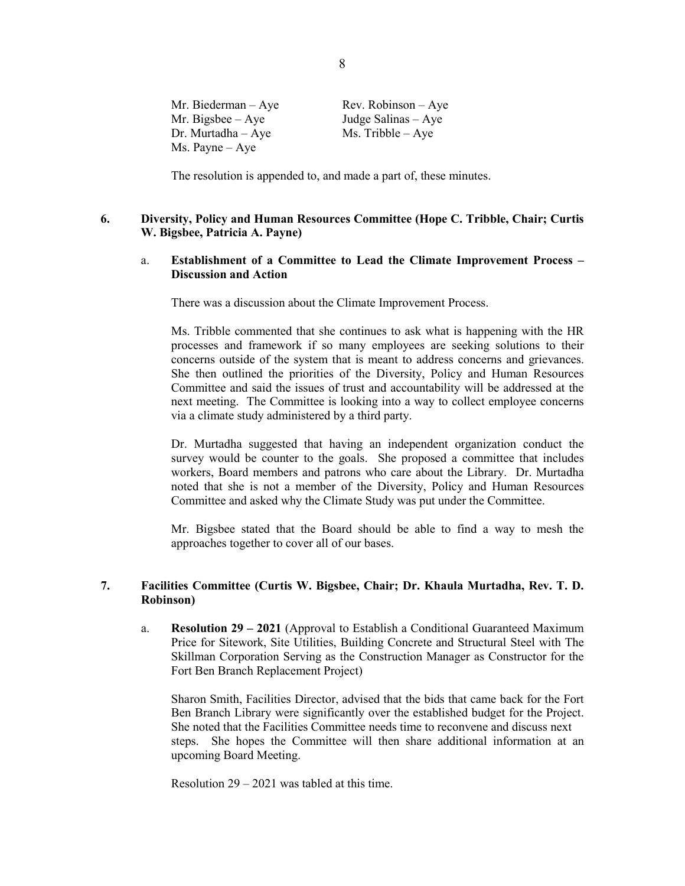| Mr. Biederman – Aye | $Rev. Robinson - Aye$ |
|---------------------|-----------------------|
| Mr. Bigsbee – Aye   | Judge Salinas $-$ Aye |
| Dr. Murtadha – Aye  | $Ms.$ Tribble $-$ Aye |
| Ms. Payne – Aye     |                       |

The resolution is appended to, and made a part of, these minutes.

## **6. Diversity, Policy and Human Resources Committee (Hope C. Tribble, Chair; Curtis W. Bigsbee, Patricia A. Payne)**

## a. **Establishment of a Committee to Lead the Climate Improvement Process – Discussion and Action**

There was a discussion about the Climate Improvement Process.

Ms. Tribble commented that she continues to ask what is happening with the HR processes and framework if so many employees are seeking solutions to their concerns outside of the system that is meant to address concerns and grievances. She then outlined the priorities of the Diversity, Policy and Human Resources Committee and said the issues of trust and accountability will be addressed at the next meeting. The Committee is looking into a way to collect employee concerns via a climate study administered by a third party.

Dr. Murtadha suggested that having an independent organization conduct the survey would be counter to the goals. She proposed a committee that includes workers, Board members and patrons who care about the Library. Dr. Murtadha noted that she is not a member of the Diversity, Policy and Human Resources Committee and asked why the Climate Study was put under the Committee.

Mr. Bigsbee stated that the Board should be able to find a way to mesh the approaches together to cover all of our bases.

## **7. Facilities Committee (Curtis W. Bigsbee, Chair; Dr. Khaula Murtadha, Rev. T. D. Robinson)**

a. **Resolution 29 – 2021** (Approval to Establish a Conditional Guaranteed Maximum Price for Sitework, Site Utilities, Building Concrete and Structural Steel with The Skillman Corporation Serving as the Construction Manager as Constructor for the Fort Ben Branch Replacement Project)

Sharon Smith, Facilities Director, advised that the bids that came back for the Fort Ben Branch Library were significantly over the established budget for the Project. She noted that the Facilities Committee needs time to reconvene and discuss next steps. She hopes the Committee will then share additional information at an upcoming Board Meeting.

Resolution 29 – 2021 was tabled at this time.

8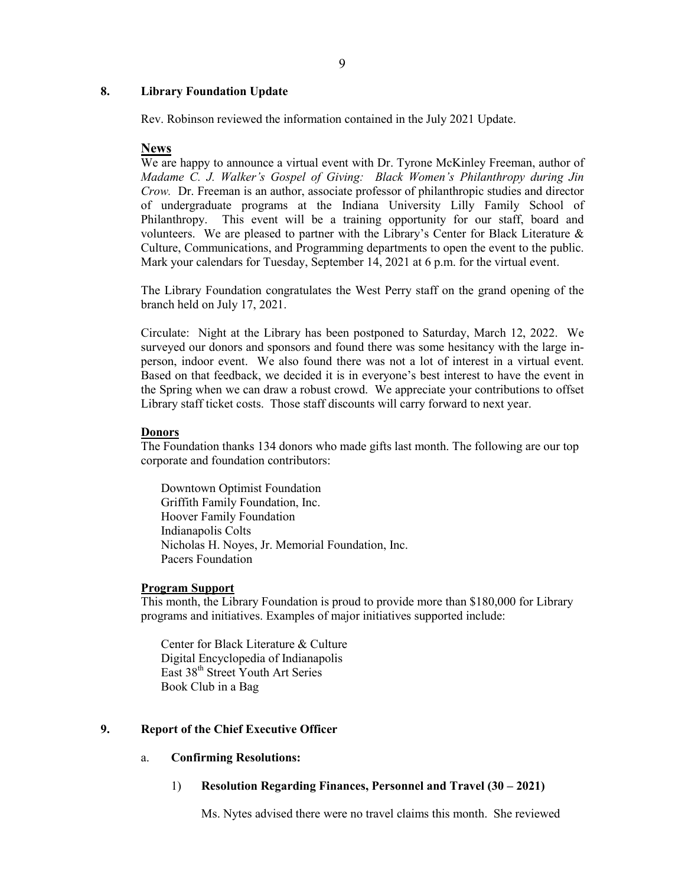## **8. Library Foundation Update**

Rev. Robinson reviewed the information contained in the July 2021 Update.

## **News**

We are happy to announce a virtual event with Dr. Tyrone McKinley Freeman, author of *Madame C. J. Walker's Gospel of Giving: Black Women's Philanthropy during Jin Crow.* Dr. Freeman is an author, associate professor of philanthropic studies and director of undergraduate programs at the Indiana University Lilly Family School of Philanthropy. This event will be a training opportunity for our staff, board and volunteers. We are pleased to partner with the Library's Center for Black Literature  $\&$ Culture, Communications, and Programming departments to open the event to the public. Mark your calendars for Tuesday, September 14, 2021 at 6 p.m. for the virtual event.

The Library Foundation congratulates the West Perry staff on the grand opening of the branch held on July 17, 2021.

Circulate: Night at the Library has been postponed to Saturday, March 12, 2022. We surveyed our donors and sponsors and found there was some hesitancy with the large inperson, indoor event. We also found there was not a lot of interest in a virtual event. Based on that feedback, we decided it is in everyone's best interest to have the event in the Spring when we can draw a robust crowd. We appreciate your contributions to offset Library staff ticket costs. Those staff discounts will carry forward to next year.

#### **Donors**

The Foundation thanks 134 donors who made gifts last month. The following are our top corporate and foundation contributors:

Downtown Optimist Foundation Griffith Family Foundation, Inc. Hoover Family Foundation Indianapolis Colts Nicholas H. Noyes, Jr. Memorial Foundation, Inc. Pacers Foundation

## **Program Support**

This month, the Library Foundation is proud to provide more than \$180,000 for Library programs and initiatives. Examples of major initiatives supported include:

Center for Black Literature & Culture Digital Encyclopedia of Indianapolis East 38<sup>th</sup> Street Youth Art Series Book Club in a Bag

## **9. Report of the Chief Executive Officer**

## a. **Confirming Resolutions:**

1) **Resolution Regarding Finances, Personnel and Travel (30 – 2021)**

Ms. Nytes advised there were no travel claims this month. She reviewed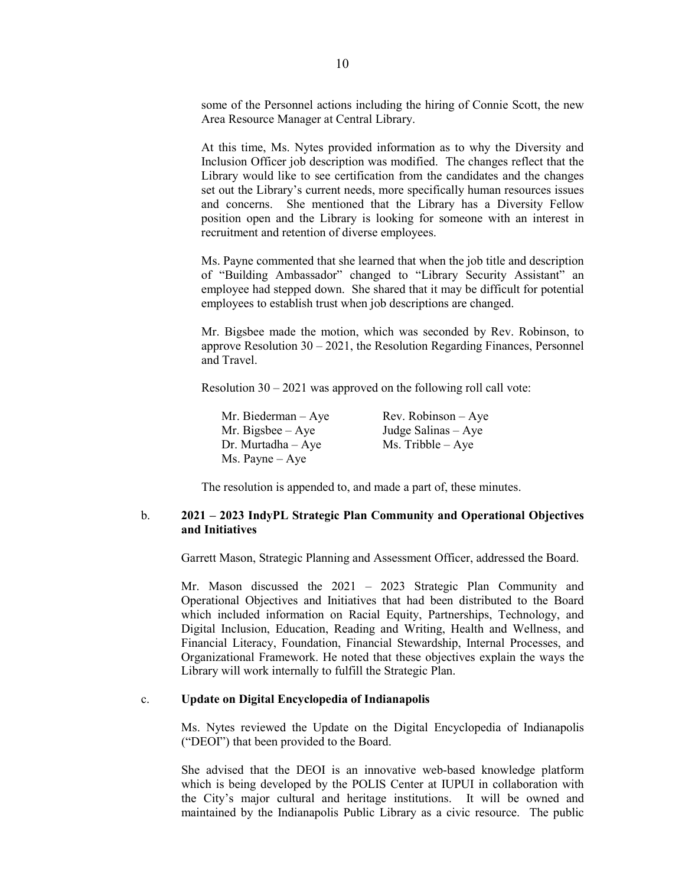some of the Personnel actions including the hiring of Connie Scott, the new Area Resource Manager at Central Library.

At this time, Ms. Nytes provided information as to why the Diversity and Inclusion Officer job description was modified. The changes reflect that the Library would like to see certification from the candidates and the changes set out the Library's current needs, more specifically human resources issues and concerns. She mentioned that the Library has a Diversity Fellow position open and the Library is looking for someone with an interest in recruitment and retention of diverse employees.

Ms. Payne commented that she learned that when the job title and description of "Building Ambassador" changed to "Library Security Assistant" an employee had stepped down. She shared that it may be difficult for potential employees to establish trust when job descriptions are changed.

Mr. Bigsbee made the motion, which was seconded by Rev. Robinson, to approve Resolution 30 – 2021, the Resolution Regarding Finances, Personnel and Travel.

Resolution 30 – 2021 was approved on the following roll call vote:

| Mr. Biederman - Aye      | $Rev. Robinson - Ave$ |
|--------------------------|-----------------------|
| Mr. Bigsbee $-$ Aye      | Judge Salinas $-$ Aye |
| $Dr.$ Murtadha $-$ Aye   | $Ms.$ Tribble $-$ Aye |
| $Ms. \text{Payne} - Aye$ |                       |

The resolution is appended to, and made a part of, these minutes.

## b. **2021 – 2023 IndyPL Strategic Plan Community and Operational Objectives and Initiatives**

Garrett Mason, Strategic Planning and Assessment Officer, addressed the Board.

Mr. Mason discussed the 2021 – 2023 Strategic Plan Community and Operational Objectives and Initiatives that had been distributed to the Board which included information on Racial Equity, Partnerships, Technology, and Digital Inclusion, Education, Reading and Writing, Health and Wellness, and Financial Literacy, Foundation, Financial Stewardship, Internal Processes, and Organizational Framework. He noted that these objectives explain the ways the Library will work internally to fulfill the Strategic Plan.

## c. **Update on Digital Encyclopedia of Indianapolis**

Ms. Nytes reviewed the Update on the Digital Encyclopedia of Indianapolis ("DEOI") that been provided to the Board.

She advised that the DEOI is an innovative web-based knowledge platform which is being developed by the POLIS Center at IUPUI in collaboration with the City's major cultural and heritage institutions. It will be owned and maintained by the Indianapolis Public Library as a civic resource. The public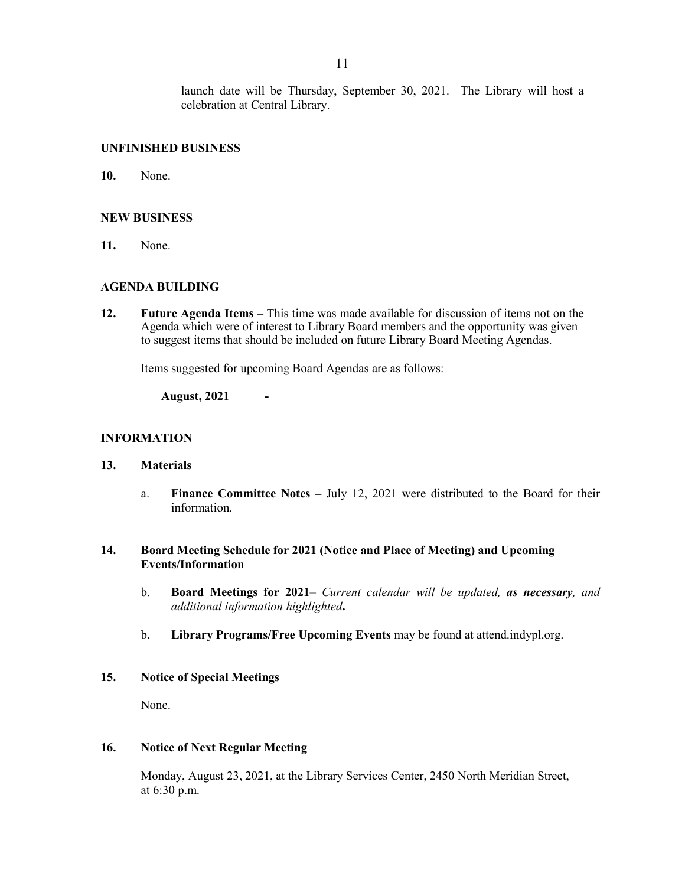launch date will be Thursday, September 30, 2021. The Library will host a celebration at Central Library.

## **UNFINISHED BUSINESS**

**10.** None.

## **NEW BUSINESS**

**11.** None.

## **AGENDA BUILDING**

**12. Future Agenda Items –** This time was made available for discussion of items not on the Agenda which were of interest to Library Board members and the opportunity was given to suggest items that should be included on future Library Board Meeting Agendas.

Items suggested for upcoming Board Agendas are as follows:

**August, 2021 -**

## **INFORMATION**

#### **13. Materials**

a. **Finance Committee Notes –** July 12, 2021 were distributed to the Board for their information.

## **14. Board Meeting Schedule for 2021 (Notice and Place of Meeting) and Upcoming Events/Information**

- b. **Board Meetings for 2021***– Current calendar will be updated, as necessary, and additional information highlighted***.**
- b. **Library Programs/Free Upcoming Events** may be found at attend.indypl.org.

## **15. Notice of Special Meetings**

None.

#### **16. Notice of Next Regular Meeting**

Monday, August 23, 2021, at the Library Services Center, 2450 North Meridian Street, at 6:30 p.m.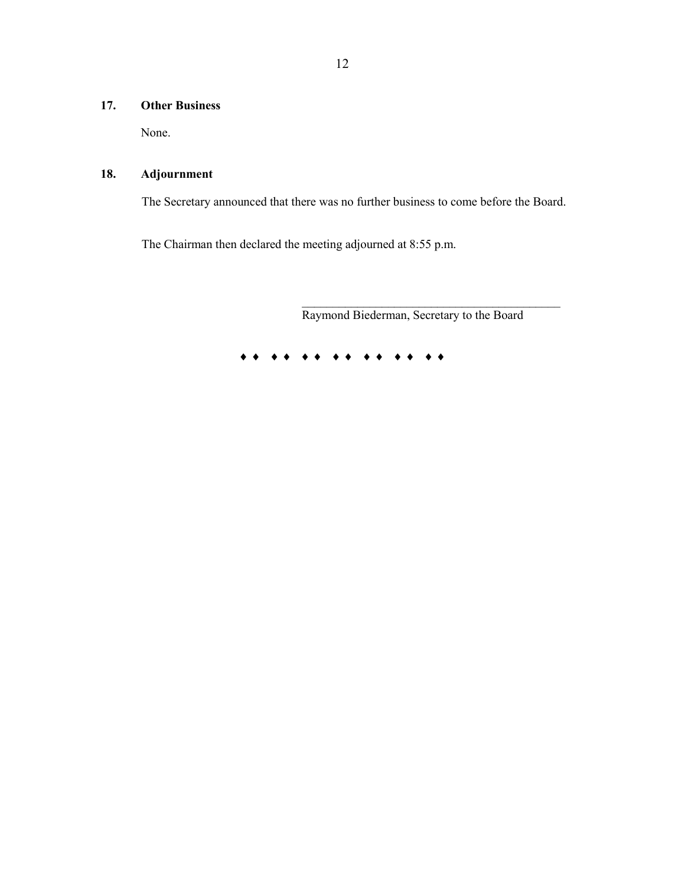# **17. Other Business**

None.

# **18. Adjournment**

The Secretary announced that there was no further business to come before the Board.

The Chairman then declared the meeting adjourned at 8:55 p.m.

Raymond Biederman, Secretary to the Board

 $\mathcal{L}_\mathcal{L}$  , where the contribution of the contribution of  $\mathcal{L}_\mathcal{L}$ 

♦ ♦ ♦ ♦ ♦ ♦ ♦ ♦ ♦ ♦ ♦ ♦ ♦ ♦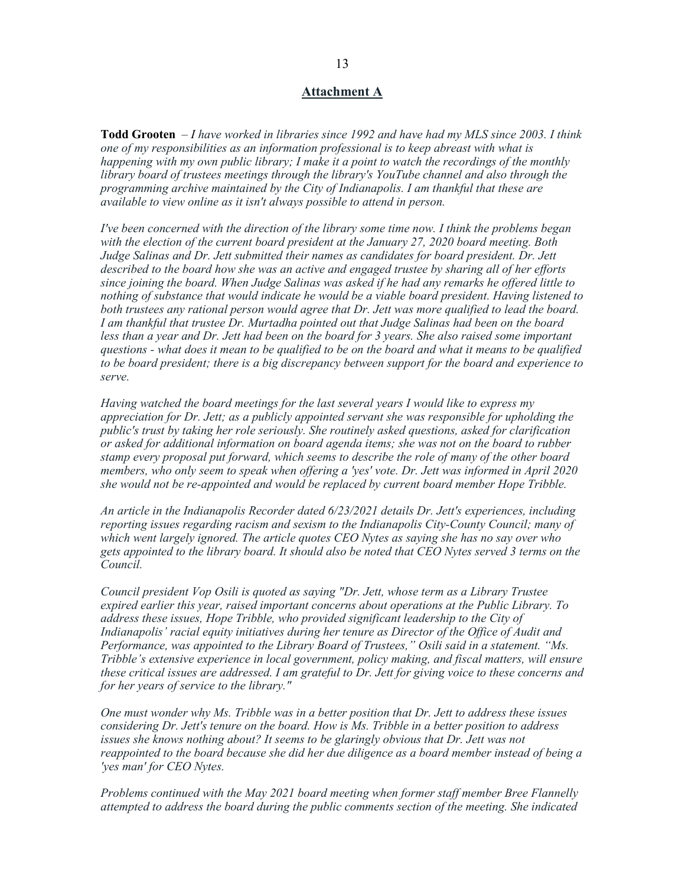## **Attachment A**

**Todd Grooten** – *I have worked in libraries since 1992 and have had my MLS since 2003. I think one of my responsibilities as an information professional is to keep abreast with what is happening with my own public library; I make it a point to watch the recordings of the monthly library board of trustees meetings through the library's YouTube channel and also through the programming archive maintained by the City of Indianapolis. I am thankful that these are available to view online as it isn't always possible to attend in person.* 

*I've been concerned with the direction of the library some time now. I think the problems began with the election of the current board president at the January 27, 2020 board meeting. Both Judge Salinas and Dr. Jett submitted their names as candidates for board president. Dr. Jett described to the board how she was an active and engaged trustee by sharing all of her efforts since joining the board. When Judge Salinas was asked if he had any remarks he offered little to nothing of substance that would indicate he would be a viable board president. Having listened to both trustees any rational person would agree that Dr. Jett was more qualified to lead the board. I am thankful that trustee Dr. Murtadha pointed out that Judge Salinas had been on the board*  less than a year and Dr. Jett had been on the board for 3 years. She also raised some important *questions - what does it mean to be qualified to be on the board and what it means to be qualified to be board president; there is a big discrepancy between support for the board and experience to serve.*

*Having watched the board meetings for the last several years I would like to express my appreciation for Dr. Jett; as a publicly appointed servant she was responsible for upholding the public's trust by taking her role seriously. She routinely asked questions, asked for clarification or asked for additional information on board agenda items; she was not on the board to rubber stamp every proposal put forward, which seems to describe the role of many of the other board members, who only seem to speak when offering a 'yes' vote. Dr. Jett was informed in April 2020 she would not be re-appointed and would be replaced by current board member Hope Tribble.* 

*An article in the Indianapolis Recorder dated 6/23/2021 details Dr. Jett's experiences, including reporting issues regarding racism and sexism to the Indianapolis City-County Council; many of which went largely ignored. The article quotes CEO Nytes as saying she has no say over who gets appointed to the library board. It should also be noted that CEO Nytes served 3 terms on the Council.*

*Council president Vop Osili is quoted as saying "Dr. Jett, whose term as a Library Trustee expired earlier this year, raised important concerns about operations at the Public Library. To address these issues, Hope Tribble, who provided significant leadership to the City of Indianapolis' racial equity initiatives during her tenure as Director of the Office of Audit and Performance, was appointed to the Library Board of Trustees," Osili said in a statement. "Ms. Tribble's extensive experience in local government, policy making, and fiscal matters, will ensure these critical issues are addressed. I am grateful to Dr. Jett for giving voice to these concerns and for her years of service to the library."*

*One must wonder why Ms. Tribble was in a better position that Dr. Jett to address these issues considering Dr. Jett's tenure on the board. How is Ms. Tribble in a better position to address issues she knows nothing about? It seems to be glaringly obvious that Dr. Jett was not reappointed to the board because she did her due diligence as a board member instead of being a 'yes man' for CEO Nytes.* 

*Problems continued with the May 2021 board meeting when former staff member Bree Flannelly attempted to address the board during the public comments section of the meeting. She indicated*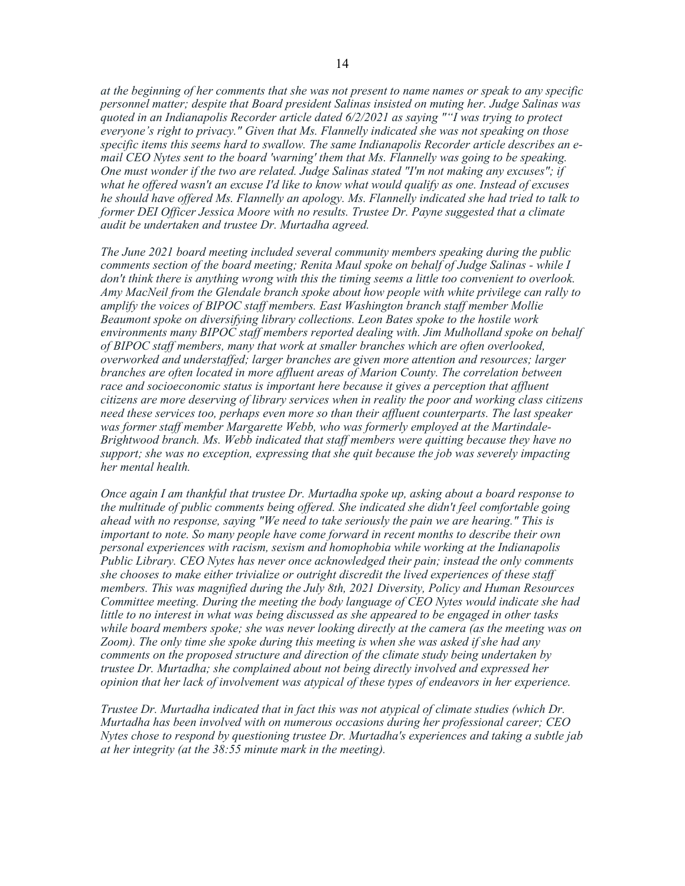*at the beginning of her comments that she was not present to name names or speak to any specific personnel matter; despite that Board president Salinas insisted on muting her. Judge Salinas was quoted in an Indianapolis Recorder article dated 6/2/2021 as saying ""I was trying to protect everyone's right to privacy." Given that Ms. Flannelly indicated she was not speaking on those specific items this seems hard to swallow. The same Indianapolis Recorder article describes an email CEO Nytes sent to the board 'warning' them that Ms. Flannelly was going to be speaking. One must wonder if the two are related. Judge Salinas stated "I'm not making any excuses"; if what he offered wasn't an excuse I'd like to know what would qualify as one. Instead of excuses he should have offered Ms. Flannelly an apology. Ms. Flannelly indicated she had tried to talk to former DEI Officer Jessica Moore with no results. Trustee Dr. Payne suggested that a climate audit be undertaken and trustee Dr. Murtadha agreed.*

*The June 2021 board meeting included several community members speaking during the public comments section of the board meeting; Renita Maul spoke on behalf of Judge Salinas - while I don't think there is anything wrong with this the timing seems a little too convenient to overlook. Amy MacNeil from the Glendale branch spoke about how people with white privilege can rally to amplify the voices of BIPOC staff members. East Washington branch staff member Mollie Beaumont spoke on diversifying library collections. Leon Bates spoke to the hostile work environments many BIPOC staff members reported dealing with. Jim Mulholland spoke on behalf of BIPOC staff members, many that work at smaller branches which are often overlooked, overworked and understaffed; larger branches are given more attention and resources; larger branches are often located in more affluent areas of Marion County. The correlation between race and socioeconomic status is important here because it gives a perception that affluent citizens are more deserving of library services when in reality the poor and working class citizens need these services too, perhaps even more so than their affluent counterparts. The last speaker was former staff member Margarette Webb, who was formerly employed at the Martindale-Brightwood branch. Ms. Webb indicated that staff members were quitting because they have no support; she was no exception, expressing that she quit because the job was severely impacting her mental health.*

*Once again I am thankful that trustee Dr. Murtadha spoke up, asking about a board response to the multitude of public comments being offered. She indicated she didn't feel comfortable going ahead with no response, saying "We need to take seriously the pain we are hearing." This is important to note. So many people have come forward in recent months to describe their own personal experiences with racism, sexism and homophobia while working at the Indianapolis Public Library. CEO Nytes has never once acknowledged their pain; instead the only comments she chooses to make either trivialize or outright discredit the lived experiences of these staff members. This was magnified during the July 8th, 2021 Diversity, Policy and Human Resources Committee meeting. During the meeting the body language of CEO Nytes would indicate she had little to no interest in what was being discussed as she appeared to be engaged in other tasks while board members spoke; she was never looking directly at the camera (as the meeting was on Zoom). The only time she spoke during this meeting is when she was asked if she had any comments on the proposed structure and direction of the climate study being undertaken by trustee Dr. Murtadha; she complained about not being directly involved and expressed her opinion that her lack of involvement was atypical of these types of endeavors in her experience.* 

*Trustee Dr. Murtadha indicated that in fact this was not atypical of climate studies (which Dr. Murtadha has been involved with on numerous occasions during her professional career; CEO Nytes chose to respond by questioning trustee Dr. Murtadha's experiences and taking a subtle jab at her integrity (at the 38:55 minute mark in the meeting).*